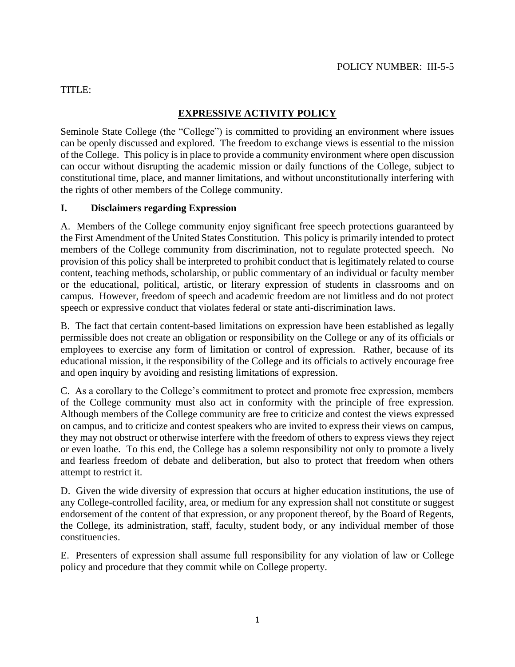#### TITLE:

# **EXPRESSIVE ACTIVITY POLICY**

Seminole State College (the "College") is committed to providing an environment where issues can be openly discussed and explored. The freedom to exchange views is essential to the mission of the College. This policy is in place to provide a community environment where open discussion can occur without disrupting the academic mission or daily functions of the College, subject to constitutional time, place, and manner limitations, and without unconstitutionally interfering with the rights of other members of the College community.

#### **I. Disclaimers regarding Expression**

A. Members of the College community enjoy significant free speech protections guaranteed by the First Amendment of the United States Constitution. This policy is primarily intended to protect members of the College community from discrimination, not to regulate protected speech. No provision of this policy shall be interpreted to prohibit conduct that is legitimately related to course content, teaching methods, scholarship, or public commentary of an individual or faculty member or the educational, political, artistic, or literary expression of students in classrooms and on campus. However, freedom of speech and academic freedom are not limitless and do not protect speech or expressive conduct that violates federal or state anti-discrimination laws.

B. The fact that certain content-based limitations on expression have been established as legally permissible does not create an obligation or responsibility on the College or any of its officials or employees to exercise any form of limitation or control of expression. Rather, because of its educational mission, it the responsibility of the College and its officials to actively encourage free and open inquiry by avoiding and resisting limitations of expression.

C. As a corollary to the College's commitment to protect and promote free expression, members of the College community must also act in conformity with the principle of free expression. Although members of the College community are free to criticize and contest the views expressed on campus, and to criticize and contest speakers who are invited to express their views on campus, they may not obstruct or otherwise interfere with the freedom of others to express views they reject or even loathe. To this end, the College has a solemn responsibility not only to promote a lively and fearless freedom of debate and deliberation, but also to protect that freedom when others attempt to restrict it.

D. Given the wide diversity of expression that occurs at higher education institutions, the use of any College-controlled facility, area, or medium for any expression shall not constitute or suggest endorsement of the content of that expression, or any proponent thereof, by the Board of Regents, the College, its administration, staff, faculty, student body, or any individual member of those constituencies.

E. Presenters of expression shall assume full responsibility for any violation of law or College policy and procedure that they commit while on College property.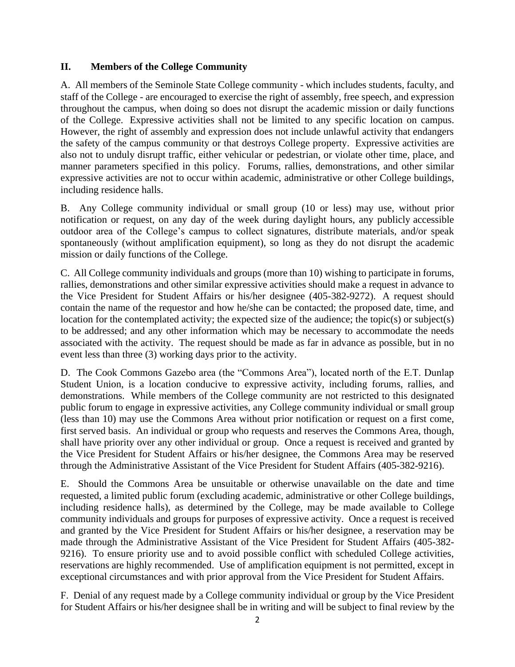#### **II. Members of the College Community**

A. All members of the Seminole State College community - which includes students, faculty, and staff of the College - are encouraged to exercise the right of assembly, free speech, and expression throughout the campus, when doing so does not disrupt the academic mission or daily functions of the College. Expressive activities shall not be limited to any specific location on campus. However, the right of assembly and expression does not include unlawful activity that endangers the safety of the campus community or that destroys College property. Expressive activities are also not to unduly disrupt traffic, either vehicular or pedestrian, or violate other time, place, and manner parameters specified in this policy. Forums, rallies, demonstrations, and other similar expressive activities are not to occur within academic, administrative or other College buildings, including residence halls.

B. Any College community individual or small group (10 or less) may use, without prior notification or request, on any day of the week during daylight hours, any publicly accessible outdoor area of the College's campus to collect signatures, distribute materials, and/or speak spontaneously (without amplification equipment), so long as they do not disrupt the academic mission or daily functions of the College.

C. All College community individuals and groups (more than 10) wishing to participate in forums, rallies, demonstrations and other similar expressive activities should make a request in advance to the Vice President for Student Affairs or his/her designee (405-382-9272). A request should contain the name of the requestor and how he/she can be contacted; the proposed date, time, and location for the contemplated activity; the expected size of the audience; the topic(s) or subject(s) to be addressed; and any other information which may be necessary to accommodate the needs associated with the activity. The request should be made as far in advance as possible, but in no event less than three (3) working days prior to the activity.

D. The Cook Commons Gazebo area (the "Commons Area"), located north of the E.T. Dunlap Student Union, is a location conducive to expressive activity, including forums, rallies, and demonstrations. While members of the College community are not restricted to this designated public forum to engage in expressive activities, any College community individual or small group (less than 10) may use the Commons Area without prior notification or request on a first come, first served basis. An individual or group who requests and reserves the Commons Area, though, shall have priority over any other individual or group. Once a request is received and granted by the Vice President for Student Affairs or his/her designee, the Commons Area may be reserved through the Administrative Assistant of the Vice President for Student Affairs (405-382-9216).

E. Should the Commons Area be unsuitable or otherwise unavailable on the date and time requested, a limited public forum (excluding academic, administrative or other College buildings, including residence halls), as determined by the College, may be made available to College community individuals and groups for purposes of expressive activity. Once a request is received and granted by the Vice President for Student Affairs or his/her designee, a reservation may be made through the Administrative Assistant of the Vice President for Student Affairs (405-382- 9216). To ensure priority use and to avoid possible conflict with scheduled College activities, reservations are highly recommended. Use of amplification equipment is not permitted, except in exceptional circumstances and with prior approval from the Vice President for Student Affairs.

F. Denial of any request made by a College community individual or group by the Vice President for Student Affairs or his/her designee shall be in writing and will be subject to final review by the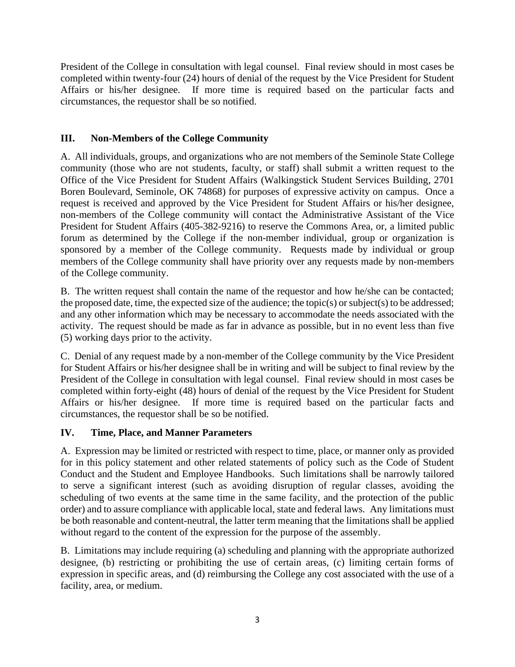President of the College in consultation with legal counsel. Final review should in most cases be completed within twenty-four (24) hours of denial of the request by the Vice President for Student Affairs or his/her designee. If more time is required based on the particular facts and circumstances, the requestor shall be so notified.

## **III. Non-Members of the College Community**

A. All individuals, groups, and organizations who are not members of the Seminole State College community (those who are not students, faculty, or staff) shall submit a written request to the Office of the Vice President for Student Affairs (Walkingstick Student Services Building, 2701 Boren Boulevard, Seminole, OK 74868) for purposes of expressive activity on campus. Once a request is received and approved by the Vice President for Student Affairs or his/her designee, non-members of the College community will contact the Administrative Assistant of the Vice President for Student Affairs (405-382-9216) to reserve the Commons Area, or, a limited public forum as determined by the College if the non-member individual, group or organization is sponsored by a member of the College community. Requests made by individual or group members of the College community shall have priority over any requests made by non-members of the College community.

B. The written request shall contain the name of the requestor and how he/she can be contacted; the proposed date, time, the expected size of the audience; the topic(s) or subject(s) to be addressed; and any other information which may be necessary to accommodate the needs associated with the activity. The request should be made as far in advance as possible, but in no event less than five (5) working days prior to the activity.

C. Denial of any request made by a non-member of the College community by the Vice President for Student Affairs or his/her designee shall be in writing and will be subject to final review by the President of the College in consultation with legal counsel. Final review should in most cases be completed within forty-eight (48) hours of denial of the request by the Vice President for Student Affairs or his/her designee. If more time is required based on the particular facts and circumstances, the requestor shall be so be notified.

### **IV. Time, Place, and Manner Parameters**

A. Expression may be limited or restricted with respect to time, place, or manner only as provided for in this policy statement and other related statements of policy such as the Code of Student Conduct and the Student and Employee Handbooks. Such limitations shall be narrowly tailored to serve a significant interest (such as avoiding disruption of regular classes, avoiding the scheduling of two events at the same time in the same facility, and the protection of the public order) and to assure compliance with applicable local, state and federal laws. Any limitations must be both reasonable and content-neutral, the latter term meaning that the limitations shall be applied without regard to the content of the expression for the purpose of the assembly.

B. Limitations may include requiring (a) scheduling and planning with the appropriate authorized designee, (b) restricting or prohibiting the use of certain areas, (c) limiting certain forms of expression in specific areas, and (d) reimbursing the College any cost associated with the use of a facility, area, or medium.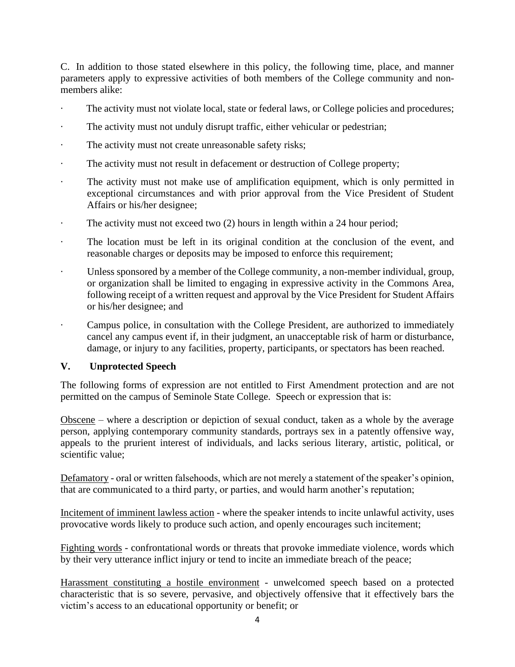C. In addition to those stated elsewhere in this policy, the following time, place, and manner parameters apply to expressive activities of both members of the College community and nonmembers alike:

- The activity must not violate local, state or federal laws, or College policies and procedures;
- The activity must not unduly disrupt traffic, either vehicular or pedestrian;
- The activity must not create unreasonable safety risks;
- · The activity must not result in defacement or destruction of College property;
- · The activity must not make use of amplification equipment, which is only permitted in exceptional circumstances and with prior approval from the Vice President of Student Affairs or his/her designee;
- · The activity must not exceed two (2) hours in length within a 24 hour period;
- · The location must be left in its original condition at the conclusion of the event, and reasonable charges or deposits may be imposed to enforce this requirement;
- Unless sponsored by a member of the College community, a non-member individual, group, or organization shall be limited to engaging in expressive activity in the Commons Area, following receipt of a written request and approval by the Vice President for Student Affairs or his/her designee; and
- Campus police, in consultation with the College President, are authorized to immediately cancel any campus event if, in their judgment, an unacceptable risk of harm or disturbance, damage, or injury to any facilities, property, participants, or spectators has been reached.

#### **V. Unprotected Speech**

The following forms of expression are not entitled to First Amendment protection and are not permitted on the campus of Seminole State College. Speech or expression that is:

Obscene – where a description or depiction of sexual conduct, taken as a whole by the average person, applying contemporary community standards, portrays sex in a patently offensive way, appeals to the prurient interest of individuals, and lacks serious literary, artistic, political, or scientific value;

Defamatory - oral or written falsehoods, which are not merely a statement of the speaker's opinion, that are communicated to a third party, or parties, and would harm another's reputation;

Incitement of imminent lawless action - where the speaker intends to incite unlawful activity, uses provocative words likely to produce such action, and openly encourages such incitement;

Fighting words - confrontational words or threats that provoke immediate violence, words which by their very utterance inflict injury or tend to incite an immediate breach of the peace;

Harassment constituting a hostile environment - unwelcomed speech based on a protected characteristic that is so severe, pervasive, and objectively offensive that it effectively bars the victim's access to an educational opportunity or benefit; or